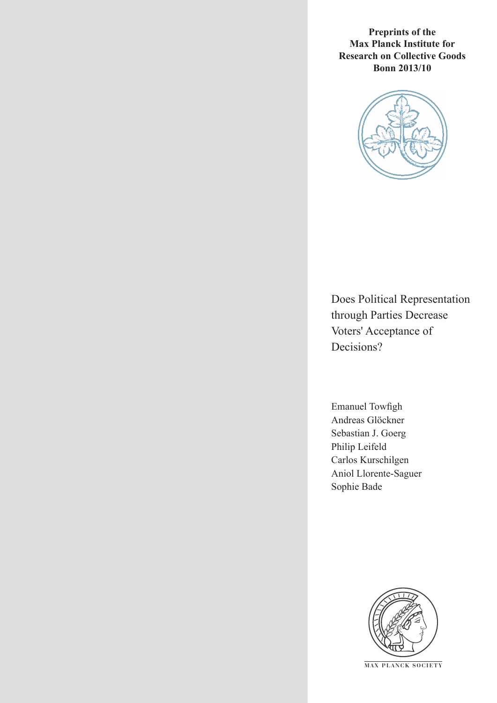**Preprints of the Max Planck Institute for Research on Collective Goods Bonn 2013/10**



Does Political Representation through Parties Decrease Voters' Acceptance of Decisions?

Emanuel Towfigh Andreas Glöckner Sebastian J. Goerg Philip Leifeld Carlos Kurschilgen Aniol Llorente-Saguer Sophie Bade



**M AX PLANCK SOCIETY**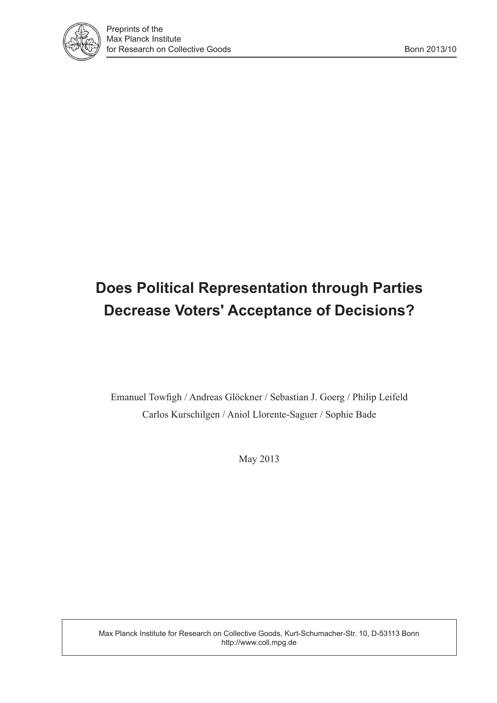

## **Does Political Representation through Parties Decrease Voters' Acceptance of Decisions?**

Emanuel Towfigh / Andreas Glöckner / Sebastian J. Goerg / Philip Leifeld Carlos Kurschilgen / Aniol Llorente-Saguer / Sophie Bade

May 2013

Max Planck Institute for Research on Collective Goods, Kurt-Schumacher-Str. 10, D-53113 Bonn http://www.coll.mpg.de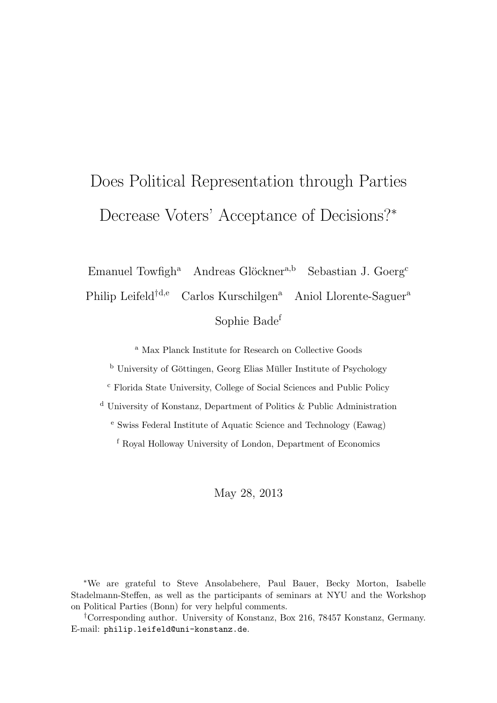# Does Political Representation through Parties Decrease Voters' Acceptance of Decisions?<sup>∗</sup>

Emanuel Towfigh<sup>a</sup> Andreas Glöckner<sup>a,b</sup> Sebastian J. Goerg<sup>c</sup> Philip Leifeld<sup>†d,e</sup> Carlos Kurschilgen<sup>a</sup> Aniol Llorente-Saguer<sup>a</sup> Sophie Bade<sup>f</sup>

<sup>a</sup> Max Planck Institute for Research on Collective Goods

 $<sup>b</sup>$  University of Göttingen, Georg Elias Müller Institute of Psychology</sup>

<sup>c</sup> Florida State University, College of Social Sciences and Public Policy

<sup>d</sup> University of Konstanz, Department of Politics & Public Administration

<sup>e</sup> Swiss Federal Institute of Aquatic Science and Technology (Eawag)

<sup>f</sup> Royal Holloway University of London, Department of Economics

May 28, 2013

<sup>∗</sup>We are grateful to Steve Ansolabehere, Paul Bauer, Becky Morton, Isabelle Stadelmann-Steffen, as well as the participants of seminars at NYU and the Workshop on Political Parties (Bonn) for very helpful comments.

†Corresponding author. University of Konstanz, Box 216, 78457 Konstanz, Germany. E-mail: [philip.leifeld@uni-konstanz.de](mailto:philip.leifeld@uni-konstanz.de).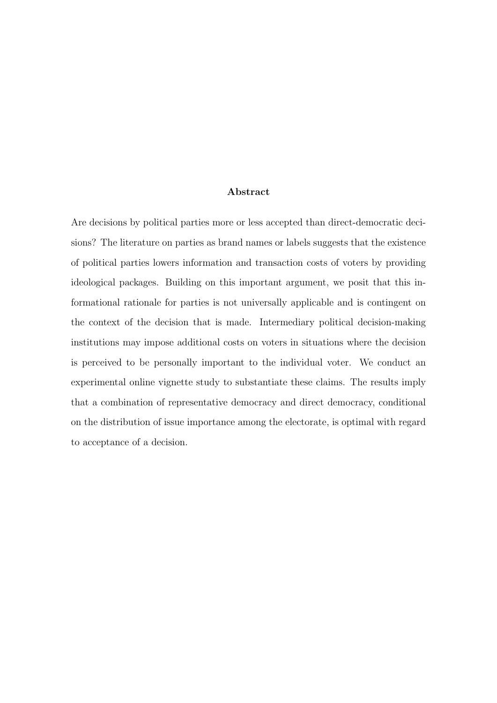#### Abstract

Are decisions by political parties more or less accepted than direct-democratic decisions? The literature on parties as brand names or labels suggests that the existence of political parties lowers information and transaction costs of voters by providing ideological packages. Building on this important argument, we posit that this informational rationale for parties is not universally applicable and is contingent on the context of the decision that is made. Intermediary political decision-making institutions may impose additional costs on voters in situations where the decision is perceived to be personally important to the individual voter. We conduct an experimental online vignette study to substantiate these claims. The results imply that a combination of representative democracy and direct democracy, conditional on the distribution of issue importance among the electorate, is optimal with regard to acceptance of a decision.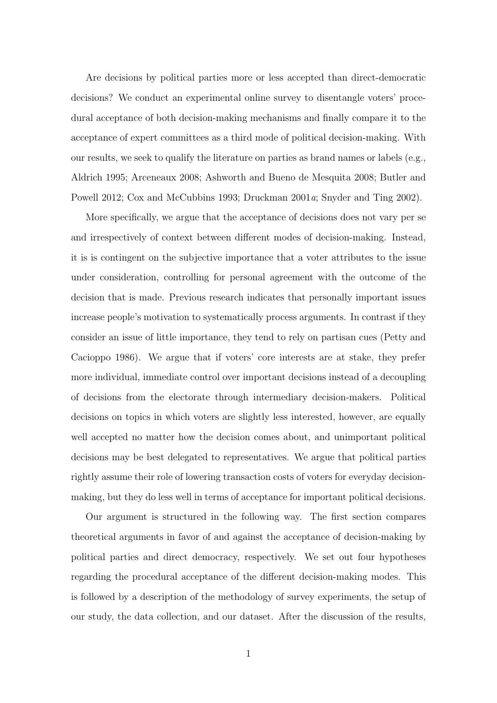Are decisions by political parties more or less accepted than direct-democratic decisions? We conduct an experimental online survey to disentangle voters' procedural acceptance of both decision-making mechanisms and finally compare it to the acceptance of expert committees as a third mode of political decision-making. With our results, we seek to qualify the literature on parties as brand names or labels (e.g., [Aldrich](#page-25-0) [1995;](#page-25-0) [Arceneaux](#page-26-0) [2008;](#page-26-0) [Ashworth and Bueno de Mesquita](#page-26-1) [2008;](#page-26-1) [Butler and](#page-26-2) [Powell](#page-26-2) [2012;](#page-26-2) [Cox and McCubbins](#page-27-0) [1993;](#page-27-0) [Druckman](#page-27-1) [2001](#page-27-1)a; [Snyder and Ting](#page-31-0) [2002\)](#page-31-0).

More specifically, we argue that the acceptance of decisions does not vary per se and irrespectively of context between different modes of decision-making. Instead, it is is contingent on the subjective importance that a voter attributes to the issue under consideration, controlling for personal agreement with the outcome of the decision that is made. Previous research indicates that personally important issues increase people's motivation to systematically process arguments. In contrast if they consider an issue of little importance, they tend to rely on partisan cues [\(Petty and](#page-30-0) [Cacioppo](#page-30-0) [1986\)](#page-30-0). We argue that if voters' core interests are at stake, they prefer more individual, immediate control over important decisions instead of a decoupling of decisions from the electorate through intermediary decision-makers. Political decisions on topics in which voters are slightly less interested, however, are equally well accepted no matter how the decision comes about, and unimportant political decisions may be best delegated to representatives. We argue that political parties rightly assume their role of lowering transaction costs of voters for everyday decisionmaking, but they do less well in terms of acceptance for important political decisions.

Our argument is structured in the following way. The first section compares theoretical arguments in favor of and against the acceptance of decision-making by political parties and direct democracy, respectively. We set out four hypotheses regarding the procedural acceptance of the different decision-making modes. This is followed by a description of the methodology of survey experiments, the setup of our study, the data collection, and our dataset. After the discussion of the results,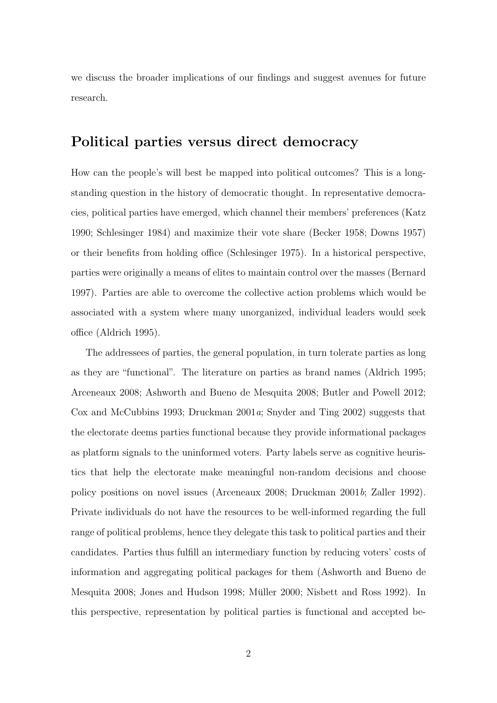we discuss the broader implications of our findings and suggest avenues for future research.

#### Political parties versus direct democracy

How can the people's will best be mapped into political outcomes? This is a longstanding question in the history of democratic thought. In representative democracies, political parties have emerged, which channel their members' preferences [\(Katz](#page-29-0) [1990;](#page-29-0) [Schlesinger](#page-31-1) [1984\)](#page-31-1) and maximize their vote share [\(Becker](#page-26-3) [1958;](#page-26-3) [Downs](#page-27-2) [1957\)](#page-27-2) or their benefits from holding office [\(Schlesinger](#page-31-2) [1975\)](#page-31-2). In a historical perspective, parties were originally a means of elites to maintain control over the masses [\(Bernard](#page-26-4) [1997\)](#page-26-4). Parties are able to overcome the collective action problems which would be associated with a system where many unorganized, individual leaders would seek office [\(Aldrich](#page-25-0) [1995\)](#page-25-0).

The addressees of parties, the general population, in turn tolerate parties as long as they are "functional". The literature on parties as brand names [\(Aldrich](#page-25-0) [1995;](#page-25-0) [Arceneaux](#page-26-0) [2008;](#page-26-0) [Ashworth and Bueno de Mesquita](#page-26-1) [2008;](#page-26-1) [Butler and Powell](#page-26-2) [2012;](#page-26-2) [Cox and McCubbins](#page-27-0) [1993;](#page-27-0) [Druckman](#page-27-1)  $2001a$  $2001a$ ; [Snyder and Ting](#page-31-0) [2002\)](#page-31-0) suggests that the electorate deems parties functional because they provide informational packages as platform signals to the uninformed voters. Party labels serve as cognitive heuristics that help the electorate make meaningful non-random decisions and choose policy positions on novel issues [\(Arceneaux](#page-26-0) [2008;](#page-26-0) [Druckman](#page-27-3) [2001](#page-27-3)b; [Zaller](#page-31-3) [1992\)](#page-31-3). Private individuals do not have the resources to be well-informed regarding the full range of political problems, hence they delegate this task to political parties and their candidates. Parties thus fulfill an intermediary function by reducing voters' costs of information and aggregating political packages for them [\(Ashworth and Bueno de](#page-26-1) [Mesquita](#page-26-1) [2008;](#page-26-1) [Jones and Hudson](#page-28-0) [1998;](#page-28-0) Müller [2000;](#page-29-1) [Nisbett and Ross](#page-30-1) [1992\)](#page-30-1). In this perspective, representation by political parties is functional and accepted be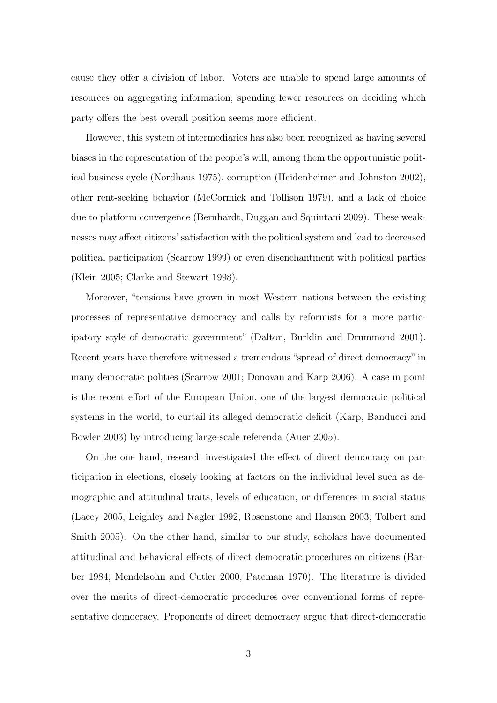cause they offer a division of labor. Voters are unable to spend large amounts of resources on aggregating information; spending fewer resources on deciding which party offers the best overall position seems more efficient.

However, this system of intermediaries has also been recognized as having several biases in the representation of the people's will, among them the opportunistic political business cycle [\(Nordhaus](#page-30-2) [1975\)](#page-30-2), corruption [\(Heidenheimer and Johnston](#page-28-1) [2002\)](#page-28-1), other rent-seeking behavior [\(McCormick and Tollison](#page-29-2) [1979\)](#page-29-2), and a lack of choice due to platform convergence [\(Bernhardt, Duggan and Squintani](#page-26-5) [2009\)](#page-26-5). These weaknesses may affect citizens' satisfaction with the political system and lead to decreased political participation [\(Scarrow](#page-30-3) [1999\)](#page-30-3) or even disenchantment with political parties [\(Klein](#page-29-3) [2005;](#page-29-3) [Clarke and Stewart](#page-27-4) [1998\)](#page-27-4).

Moreover, "tensions have grown in most Western nations between the existing processes of representative democracy and calls by reformists for a more participatory style of democratic government" [\(Dalton, Burklin and Drummond](#page-27-5) [2001\)](#page-27-5). Recent years have therefore witnessed a tremendous "spread of direct democracy" in many democratic polities [\(Scarrow](#page-30-4) [2001;](#page-30-4) [Donovan and Karp](#page-27-6) [2006\)](#page-27-6). A case in point is the recent effort of the European Union, one of the largest democratic political systems in the world, to curtail its alleged democratic deficit [\(Karp, Banducci and](#page-29-4) [Bowler](#page-29-4) [2003\)](#page-29-4) by introducing large-scale referenda [\(Auer](#page-26-6) [2005\)](#page-26-6).

On the one hand, research investigated the effect of direct democracy on participation in elections, closely looking at factors on the individual level such as demographic and attitudinal traits, levels of education, or differences in social status [\(Lacey](#page-29-5) [2005;](#page-29-5) [Leighley and Nagler](#page-29-6) [1992;](#page-29-6) [Rosenstone and Hansen](#page-30-5) [2003;](#page-30-5) [Tolbert and](#page-31-4) [Smith](#page-31-4) [2005\)](#page-31-4). On the other hand, similar to our study, scholars have documented attitudinal and behavioral effects of direct democratic procedures on citizens [\(Bar](#page-26-7)[ber](#page-26-7) [1984;](#page-26-7) [Mendelsohn and Cutler](#page-29-7) [2000;](#page-29-7) [Pateman](#page-30-6) [1970\)](#page-30-6). The literature is divided over the merits of direct-democratic procedures over conventional forms of representative democracy. Proponents of direct democracy argue that direct-democratic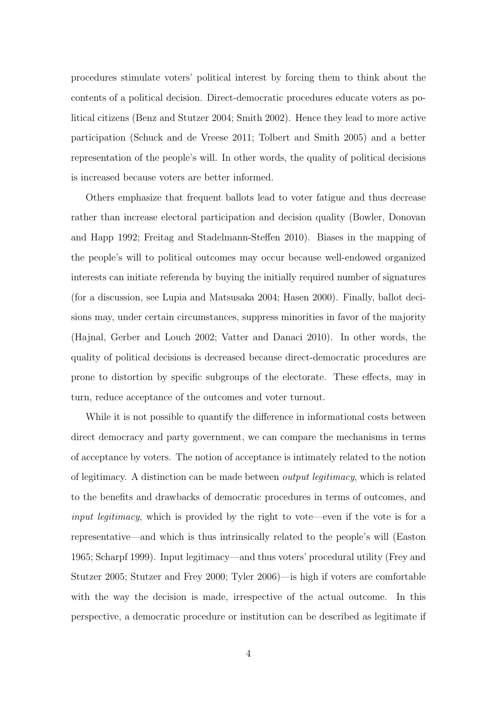procedures stimulate voters' political interest by forcing them to think about the contents of a political decision. Direct-democratic procedures educate voters as political citizens [\(Benz and Stutzer](#page-26-8) [2004;](#page-26-8) [Smith](#page-31-5) [2002\)](#page-31-5). Hence they lead to more active participation [\(Schuck and de Vreese](#page-31-6) [2011;](#page-31-6) [Tolbert and Smith](#page-31-4) [2005\)](#page-31-4) and a better representation of the people's will. In other words, the quality of political decisions is increased because voters are better informed.

Others emphasize that frequent ballots lead to voter fatigue and thus decrease rather than increase electoral participation and decision quality [\(Bowler, Donovan](#page-26-9) [and Happ](#page-26-9) [1992;](#page-26-9) [Freitag and Stadelmann-Steffen](#page-28-2) [2010\)](#page-28-2). Biases in the mapping of the people's will to political outcomes may occur because well-endowed organized interests can initiate referenda by buying the initially required number of signatures (for a discussion, see [Lupia and Matsusaka](#page-29-8) [2004;](#page-29-8) [Hasen](#page-28-3) [2000\)](#page-28-3). Finally, ballot decisions may, under certain circumstances, suppress minorities in favor of the majority [\(Hajnal, Gerber and Louch](#page-28-4) [2002;](#page-28-4) [Vatter and Danaci](#page-31-7) [2010\)](#page-31-7). In other words, the quality of political decisions is decreased because direct-democratic procedures are prone to distortion by specific subgroups of the electorate. These effects, may in turn, reduce acceptance of the outcomes and voter turnout.

While it is not possible to quantify the difference in informational costs between direct democracy and party government, we can compare the mechanisms in terms of acceptance by voters. The notion of acceptance is intimately related to the notion of legitimacy. A distinction can be made between output legitimacy, which is related to the benefits and drawbacks of democratic procedures in terms of outcomes, and input legitimacy, which is provided by the right to vote—even if the vote is for a representative—and which is thus intrinsically related to the people's will [\(Easton](#page-27-7) [1965;](#page-27-7) [Scharpf](#page-30-7) [1999\)](#page-30-7). Input legitimacy—and thus voters' procedural utility [\(Frey and](#page-28-5) [Stutzer](#page-28-5) [2005;](#page-28-5) [Stutzer and Frey](#page-31-8) [2000;](#page-31-8) [Tyler](#page-31-9) [2006\)](#page-31-9)—is high if voters are comfortable with the way the decision is made, irrespective of the actual outcome. In this perspective, a democratic procedure or institution can be described as legitimate if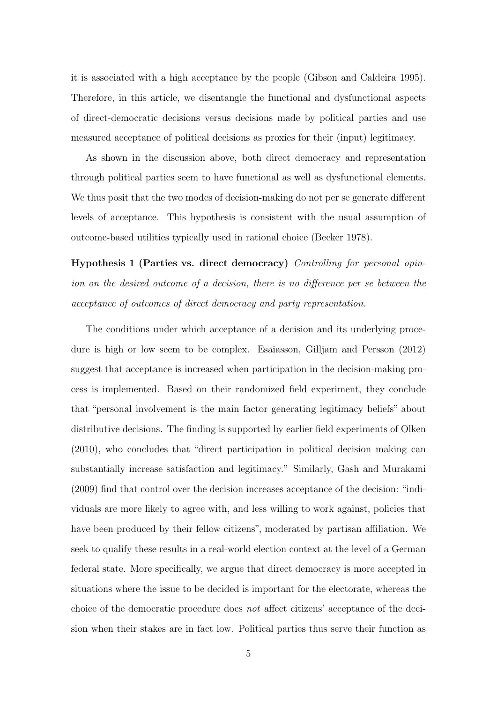it is associated with a high acceptance by the people [\(Gibson and Caldeira](#page-28-6) [1995\)](#page-28-6). Therefore, in this article, we disentangle the functional and dysfunctional aspects of direct-democratic decisions versus decisions made by political parties and use measured acceptance of political decisions as proxies for their (input) legitimacy.

As shown in the discussion above, both direct democracy and representation through political parties seem to have functional as well as dysfunctional elements. We thus posit that the two modes of decision-making do not per se generate different levels of acceptance. This hypothesis is consistent with the usual assumption of outcome-based utilities typically used in rational choice [\(Becker](#page-26-10) [1978\)](#page-26-10).

<span id="page-8-0"></span>Hypothesis 1 (Parties vs. direct democracy) Controlling for personal opinion on the desired outcome of a decision, there is no difference per se between the acceptance of outcomes of direct democracy and party representation.

The conditions under which acceptance of a decision and its underlying procedure is high or low seem to be complex. [Esaiasson, Gilljam and Persson](#page-27-8) [\(2012\)](#page-27-8) suggest that acceptance is increased when participation in the decision-making process is implemented. Based on their randomized field experiment, they conclude that "personal involvement is the main factor generating legitimacy beliefs" about distributive decisions. The finding is supported by earlier field experiments of [Olken](#page-30-8) [\(2010\)](#page-30-8), who concludes that "direct participation in political decision making can substantially increase satisfaction and legitimacy." Similarly, [Gash and Murakami](#page-28-7) [\(2009\)](#page-28-7) find that control over the decision increases acceptance of the decision: "individuals are more likely to agree with, and less willing to work against, policies that have been produced by their fellow citizens", moderated by partisan affiliation. We seek to qualify these results in a real-world election context at the level of a German federal state. More specifically, we argue that direct democracy is more accepted in situations where the issue to be decided is important for the electorate, whereas the choice of the democratic procedure does not affect citizens' acceptance of the decision when their stakes are in fact low. Political parties thus serve their function as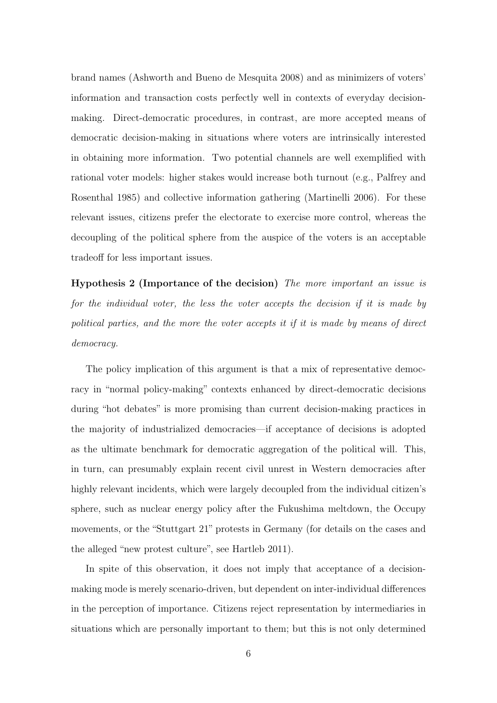brand names [\(Ashworth and Bueno de Mesquita](#page-26-1) [2008\)](#page-26-1) and as minimizers of voters' information and transaction costs perfectly well in contexts of everyday decisionmaking. Direct-democratic procedures, in contrast, are more accepted means of democratic decision-making in situations where voters are intrinsically interested in obtaining more information. Two potential channels are well exemplified with rational voter models: higher stakes would increase both turnout (e.g., [Palfrey and](#page-30-9) [Rosenthal](#page-30-9) [1985\)](#page-30-9) and collective information gathering [\(Martinelli](#page-29-9) [2006\)](#page-29-9). For these relevant issues, citizens prefer the electorate to exercise more control, whereas the decoupling of the political sphere from the auspice of the voters is an acceptable tradeoff for less important issues.

<span id="page-9-0"></span>Hypothesis 2 (Importance of the decision) The more important an issue is for the individual voter, the less the voter accepts the decision if it is made by political parties, and the more the voter accepts it if it is made by means of direct democracy.

The policy implication of this argument is that a mix of representative democracy in "normal policy-making" contexts enhanced by direct-democratic decisions during "hot debates" is more promising than current decision-making practices in the majority of industrialized democracies—if acceptance of decisions is adopted as the ultimate benchmark for democratic aggregation of the political will. This, in turn, can presumably explain recent civil unrest in Western democracies after highly relevant incidents, which were largely decoupled from the individual citizen's sphere, such as nuclear energy policy after the Fukushima meltdown, the Occupy movements, or the "Stuttgart 21" protests in Germany (for details on the cases and the alleged "new protest culture", see [Hartleb](#page-28-8) [2011\)](#page-28-8).

In spite of this observation, it does not imply that acceptance of a decisionmaking mode is merely scenario-driven, but dependent on inter-individual differences in the perception of importance. Citizens reject representation by intermediaries in situations which are personally important to them; but this is not only determined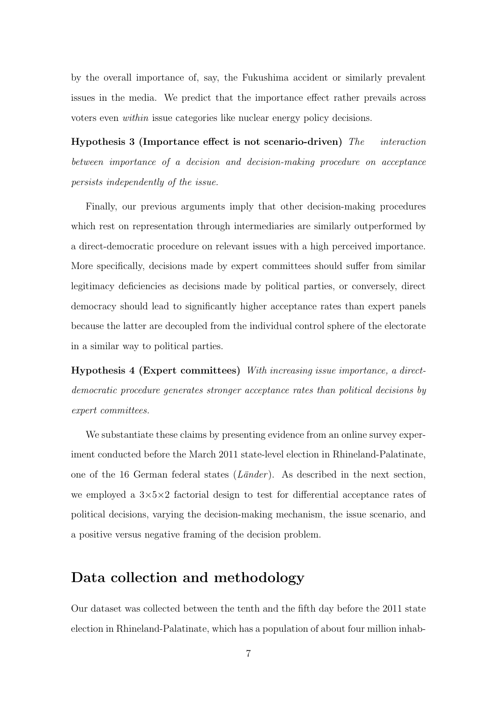by the overall importance of, say, the Fukushima accident or similarly prevalent issues in the media. We predict that the importance effect rather prevails across voters even within issue categories like nuclear energy policy decisions.

<span id="page-10-0"></span>Hypothesis 3 (Importance effect is not scenario-driven) The interaction between importance of a decision and decision-making procedure on acceptance persists independently of the issue.

Finally, our previous arguments imply that other decision-making procedures which rest on representation through intermediaries are similarly outperformed by a direct-democratic procedure on relevant issues with a high perceived importance. More specifically, decisions made by expert committees should suffer from similar legitimacy deficiencies as decisions made by political parties, or conversely, direct democracy should lead to significantly higher acceptance rates than expert panels because the latter are decoupled from the individual control sphere of the electorate in a similar way to political parties.

<span id="page-10-1"></span>Hypothesis 4 (Expert committees) With increasing issue importance, a directdemocratic procedure generates stronger acceptance rates than political decisions by expert committees.

We substantiate these claims by presenting evidence from an online survey experiment conducted before the March 2011 state-level election in Rhineland-Palatinate, one of the 16 German federal states  $(Länder)$ . As described in the next section, we employed a  $3\times5\times2$  factorial design to test for differential acceptance rates of political decisions, varying the decision-making mechanism, the issue scenario, and a positive versus negative framing of the decision problem.

#### Data collection and methodology

Our dataset was collected between the tenth and the fifth day before the 2011 state election in Rhineland-Palatinate, which has a population of about four million inhab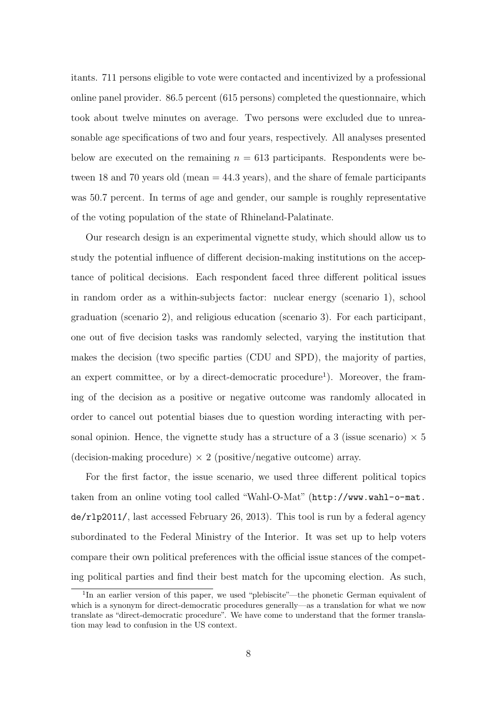itants. 711 persons eligible to vote were contacted and incentivized by a professional online panel provider. 86.5 percent (615 persons) completed the questionnaire, which took about twelve minutes on average. Two persons were excluded due to unreasonable age specifications of two and four years, respectively. All analyses presented below are executed on the remaining  $n = 613$  participants. Respondents were between 18 and 70 years old (mean  $= 44.3$  years), and the share of female participants was 50.7 percent. In terms of age and gender, our sample is roughly representative of the voting population of the state of Rhineland-Palatinate.

Our research design is an experimental vignette study, which should allow us to study the potential influence of different decision-making institutions on the acceptance of political decisions. Each respondent faced three different political issues in random order as a within-subjects factor: nuclear energy (scenario 1), school graduation (scenario 2), and religious education (scenario 3). For each participant, one out of five decision tasks was randomly selected, varying the institution that makes the decision (two specific parties (CDU and SPD), the majority of parties, an expert committee, or by a direct-democratic procedure<sup>[1](#page-11-0)</sup>). Moreover, the framing of the decision as a positive or negative outcome was randomly allocated in order to cancel out potential biases due to question wording interacting with personal opinion. Hence, the vignette study has a structure of a 3 (issue scenario)  $\times$  5 (decision-making procedure)  $\times$  2 (positive/negative outcome) array.

For the first factor, the issue scenario, we used three different political topics taken from an online voting tool called "Wahl-O-Mat" ([http://www.wahl-o-mat.](http://www.wahl-o-mat.de/rlp2011/) [de/rlp2011/](http://www.wahl-o-mat.de/rlp2011/), last accessed February 26, 2013). This tool is run by a federal agency subordinated to the Federal Ministry of the Interior. It was set up to help voters compare their own political preferences with the official issue stances of the competing political parties and find their best match for the upcoming election. As such,

<span id="page-11-0"></span><sup>&</sup>lt;sup>1</sup>In an earlier version of this paper, we used "plebiscite"—the phonetic German equivalent of which is a synonym for direct-democratic procedures generally—as a translation for what we now translate as "direct-democratic procedure". We have come to understand that the former translation may lead to confusion in the US context.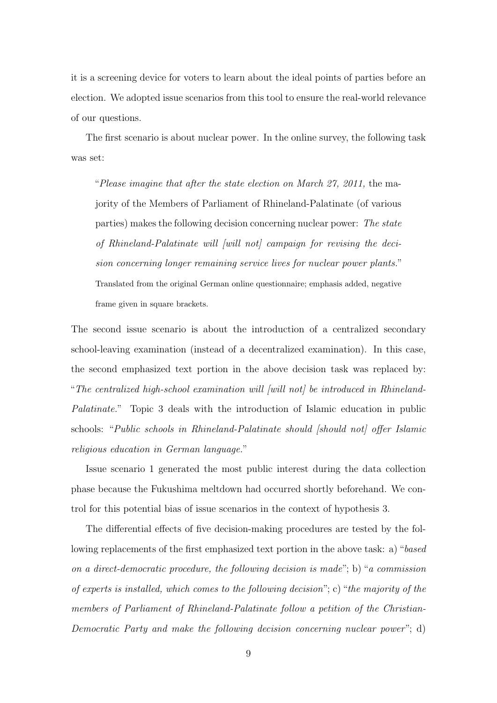it is a screening device for voters to learn about the ideal points of parties before an election. We adopted issue scenarios from this tool to ensure the real-world relevance of our questions.

The first scenario is about nuclear power. In the online survey, the following task was set:

"Please imagine that after the state election on March 27, 2011, the majority of the Members of Parliament of Rhineland-Palatinate (of various parties) makes the following decision concerning nuclear power: The state of Rhineland-Palatinate will [will not] campaign for revising the decision concerning longer remaining service lives for nuclear power plants." Translated from the original German online questionnaire; emphasis added, negative frame given in square brackets.

The second issue scenario is about the introduction of a centralized secondary school-leaving examination (instead of a decentralized examination). In this case, the second emphasized text portion in the above decision task was replaced by: "The centralized high-school examination will [will not] be introduced in Rhineland-Palatinate." Topic 3 deals with the introduction of Islamic education in public schools: "Public schools in Rhineland-Palatinate should [should not] offer Islamic religious education in German language."

Issue scenario 1 generated the most public interest during the data collection phase because the Fukushima meltdown had occurred shortly beforehand. We control for this potential bias of issue scenarios in the context of hypothesis [3.](#page-10-0)

The differential effects of five decision-making procedures are tested by the following replacements of the first emphasized text portion in the above task: a) "based on a direct-democratic procedure, the following decision is made"; b) "a commission of experts is installed, which comes to the following decision"; c) "the majority of the members of Parliament of Rhineland-Palatinate follow a petition of the Christian-Democratic Party and make the following decision concerning nuclear power"; d)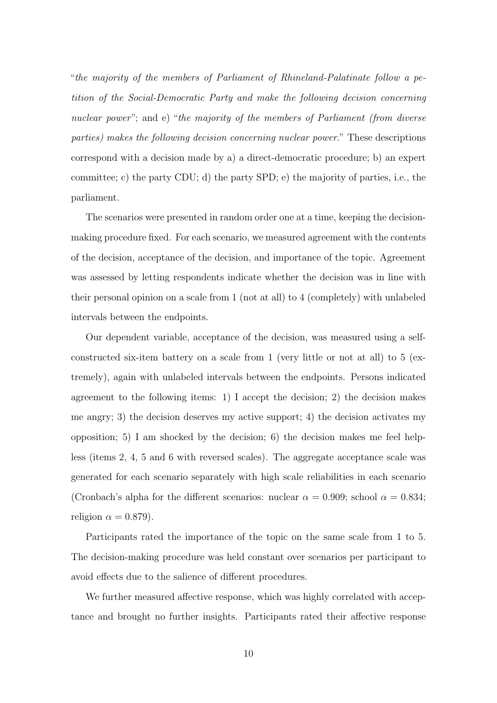"the majority of the members of Parliament of Rhineland-Palatinate follow a petition of the Social-Democratic Party and make the following decision concerning nuclear power"; and e) "the majority of the members of Parliament (from diverse parties) makes the following decision concerning nuclear power." These descriptions correspond with a decision made by a) a direct-democratic procedure; b) an expert committee; c) the party CDU; d) the party SPD; e) the majority of parties, i.e., the parliament.

The scenarios were presented in random order one at a time, keeping the decisionmaking procedure fixed. For each scenario, we measured agreement with the contents of the decision, acceptance of the decision, and importance of the topic. Agreement was assessed by letting respondents indicate whether the decision was in line with their personal opinion on a scale from 1 (not at all) to 4 (completely) with unlabeled intervals between the endpoints.

Our dependent variable, acceptance of the decision, was measured using a selfconstructed six-item battery on a scale from 1 (very little or not at all) to 5 (extremely), again with unlabeled intervals between the endpoints. Persons indicated agreement to the following items: 1) I accept the decision; 2) the decision makes me angry; 3) the decision deserves my active support; 4) the decision activates my opposition; 5) I am shocked by the decision; 6) the decision makes me feel helpless (items 2, 4, 5 and 6 with reversed scales). The aggregate acceptance scale was generated for each scenario separately with high scale reliabilities in each scenario (Cronbach's alpha for the different scenarios: nuclear  $\alpha = 0.909$ ; school  $\alpha = 0.834$ ; religion  $\alpha = 0.879$ ).

Participants rated the importance of the topic on the same scale from 1 to 5. The decision-making procedure was held constant over scenarios per participant to avoid effects due to the salience of different procedures.

We further measured affective response, which was highly correlated with acceptance and brought no further insights. Participants rated their affective response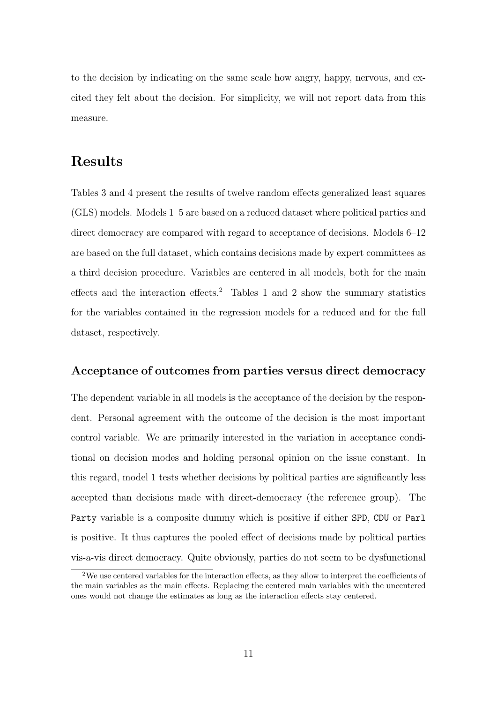to the decision by indicating on the same scale how angry, happy, nervous, and excited they felt about the decision. For simplicity, we will not report data from this measure.

## Results

Tables [3](#page-17-0) and [4](#page-20-0) present the results of twelve random effects generalized least squares (GLS) models. Models 1–5 are based on a reduced dataset where political parties and direct democracy are compared with regard to acceptance of decisions. Models  $6-12$ are based on the full dataset, which contains decisions made by expert committees as a third decision procedure. Variables are centered in all models, both for the main effects and the interaction effects.<sup>[2](#page-16-0)</sup> Tables [1](#page-15-0) and 2 show the summary statistics for the variables contained in the regression models for a reduced and for the full dataset, respectively.

#### Acceptance of outcomes from parties versus direct democracy

The dependent variable in all models is the acceptance of the decision by the respondent. Personal agreement with the outcome of the decision is the most important control variable. We are primarily interested in the variation in acceptance conditional on decision modes and holding personal opinion on the issue constant. In this regard, model 1 tests whether decisions by political parties are significantly less accepted than decisions made with direct-democracy (the reference group). The Party variable is a composite dummy which is positive if either SPD, CDU or Parl is positive. It thus captures the pooled effect of decisions made by political parties vis-a-vis direct democracy. Quite obviously, parties do not seem to be dysfunctional

<span id="page-14-0"></span><sup>2</sup>We use centered variables for the interaction effects, as they allow to interpret the coefficients of the main variables as the main effects. Replacing the centered main variables with the uncentered ones would not change the estimates as long as the interaction effects stay centered.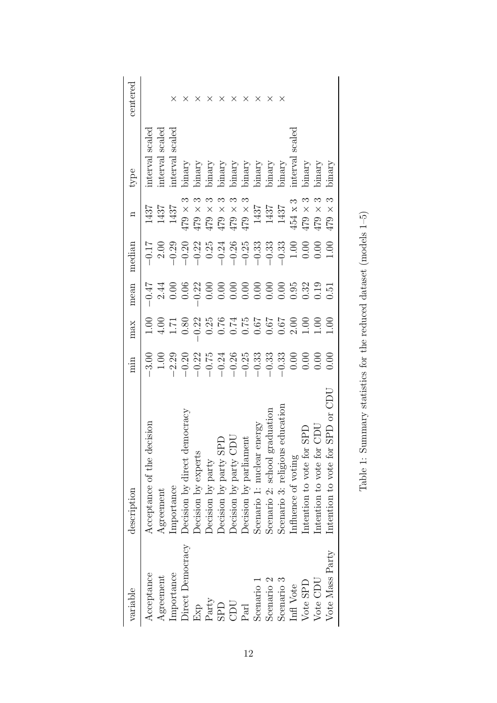<span id="page-15-0"></span>

| variable              | description                             | min     | max                                                                                                                                                                                                                                                                        | mean              | median | $\mathbf{u}$                                                                                                                                                                                                                                                                          | type                       | centered |
|-----------------------|-----------------------------------------|---------|----------------------------------------------------------------------------------------------------------------------------------------------------------------------------------------------------------------------------------------------------------------------------|-------------------|--------|---------------------------------------------------------------------------------------------------------------------------------------------------------------------------------------------------------------------------------------------------------------------------------------|----------------------------|----------|
| Acceptance            | cision<br>Acceptance of the de          | $-3.00$ |                                                                                                                                                                                                                                                                            |                   |        | 1437                                                                                                                                                                                                                                                                                  | nterval scaled             |          |
| Agreement             | Agreement                               |         | $1.00$<br>$4.00$<br>$1.71$<br>$0.80$                                                                                                                                                                                                                                       |                   |        |                                                                                                                                                                                                                                                                                       | scaled<br>nterval          |          |
| Importance            | importance                              |         |                                                                                                                                                                                                                                                                            |                   |        | $\frac{1437}{1437}$                                                                                                                                                                                                                                                                   | scaled<br>nterval          |          |
| Direct Democracy      | Decision by direct democracy            |         |                                                                                                                                                                                                                                                                            |                   |        |                                                                                                                                                                                                                                                                                       | binary                     |          |
| Exp                   | Decision by experts                     |         |                                                                                                                                                                                                                                                                            |                   |        |                                                                                                                                                                                                                                                                                       | $\rm binary$               |          |
| Party                 | Decision by party                       |         |                                                                                                                                                                                                                                                                            |                   |        |                                                                                                                                                                                                                                                                                       | binary                     |          |
| <b>GPD</b>            | Decision by party SF                    |         |                                                                                                                                                                                                                                                                            |                   |        |                                                                                                                                                                                                                                                                                       | $binary$                   | X        |
| CDU                   | Decision by party CDU                   |         |                                                                                                                                                                                                                                                                            |                   |        |                                                                                                                                                                                                                                                                                       |                            | $\times$ |
| Parl                  | Decision by parliament                  |         | $\begin{array}{cccccc}\n 0.22 & 0.000 & 0.000 & 0.000 & 0.000 & 0.000 & 0.000 & 0.000 & 0.000 & 0.000 & 0.000 & 0.000 & 0.000 & 0.000 & 0.000 & 0.000 & 0.000 & 0.000 & 0.000 & 0.000 & 0.000 & 0.000 & 0.000 & 0.000 & 0.000 & 0.000 & 0.000 & 0.000 & 0.000 & 0.000 & 0$ |                   |        | $\begin{array}{c} 0.000000 \\ 0.00000 \\ 0.00000 \\ 0.00000 \\ 0.00000 \\ 0.00000 \\ 0.00000 \\ 0.00000 \\ 0.00000 \\ 0.00000 \\ 0.00000 \\ 0.00000 \\ 0.00000 \\ 0.00000 \\ 0.00000 \\ 0.00000 \\ 0.00000 \\ 0.00000 \\ 0.00000 \\ 0.00000 \\ 0.00000 \\ 0.00000 \\ 0.00000 \\ 0.00$ | binary<br>binary<br>binary | $\times$ |
| Scenario 1            | Scenario 1: nuclear energy              |         |                                                                                                                                                                                                                                                                            |                   |        | $\frac{1437}{1437}$                                                                                                                                                                                                                                                                   |                            | $\times$ |
| Scenario <sub>2</sub> | aduation<br>Scenario 2: school gr       |         |                                                                                                                                                                                                                                                                            |                   |        |                                                                                                                                                                                                                                                                                       | binary                     | X        |
| Scenario 3            | educatior<br>Scenario 3: religious      |         |                                                                                                                                                                                                                                                                            |                   |        |                                                                                                                                                                                                                                                                                       | ynary                      | ×        |
| Infl Vote             | Influence of voting                     |         |                                                                                                                                                                                                                                                                            |                   |        | $454 \times 3$                                                                                                                                                                                                                                                                        | scaled<br>nterval          |          |
| Vote SPD              | intention to vote for                   |         |                                                                                                                                                                                                                                                                            |                   |        | $2 \times 624$<br>$2 \times 624$                                                                                                                                                                                                                                                      | yranic                     |          |
| Vote CDU              | Ĕ<br>Intention to vote for              |         |                                                                                                                                                                                                                                                                            |                   |        |                                                                                                                                                                                                                                                                                       | binary                     |          |
| Vote Mass Party       | $SPD$ or $CDC$<br>Intention to vote for | 0.00    |                                                                                                                                                                                                                                                                            | $0.\overline{5}1$ | 1.00   | $179\times3$                                                                                                                                                                                                                                                                          | binary                     |          |

| l<br>I                                                                 |
|------------------------------------------------------------------------|
| l                                                                      |
| Í                                                                      |
| I<br>j                                                                 |
| ١<br>Í                                                                 |
|                                                                        |
|                                                                        |
| l<br>Ì                                                                 |
| .<br>با                                                                |
| $\overline{\phantom{a}}$<br>J                                          |
|                                                                        |
| j<br>Ī                                                                 |
| )<br>5<br>5                                                            |
|                                                                        |
| l                                                                      |
| .<br>.<br>$\frac{1}{2}$                                                |
| $\frac{1}{2}$                                                          |
| ı<br>۔<br>ح                                                            |
| )<br>I                                                                 |
| $\frac{1}{1}$<br>Į<br>١                                                |
| l<br>J                                                                 |
| i                                                                      |
| ļ                                                                      |
|                                                                        |
| .<br>!                                                                 |
| י<br>í                                                                 |
| ļ                                                                      |
| I                                                                      |
| l                                                                      |
|                                                                        |
| Ì                                                                      |
| ١<br>j                                                                 |
| į                                                                      |
| l<br>֖֖֪ׅ֪ׅ֪ׅ֪ׅ֪ׅ֪֪֪֪֪֪ׅ֪֪ׅ֚֚֚֚֚֚֚֚֚֚֚֚֚֚֡֝֝֝֝֬֝֝֬֝֬֝֬֓֞֬֝֬֝֓֞֬֝֬<br>I |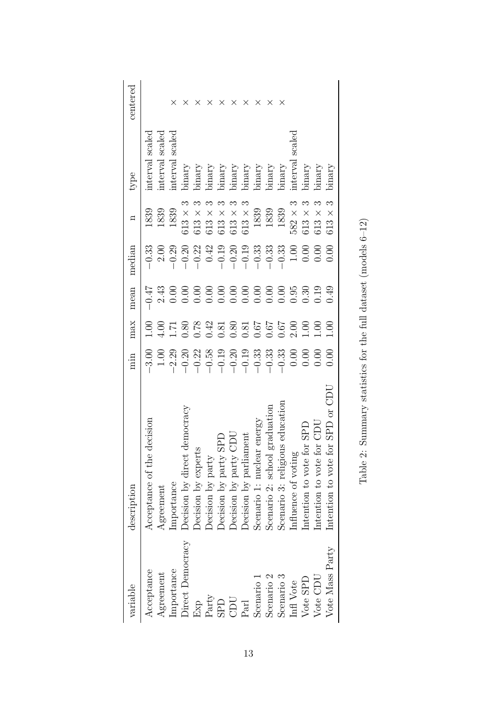<span id="page-16-0"></span>

| centered    |                               |                   |                          |                                 |                     |                   |                                 |                          |                                                                          |                            |                                  | ×                               |                    |                                                                                                                                                                        |                                          |                                        |
|-------------|-------------------------------|-------------------|--------------------------|---------------------------------|---------------------|-------------------|---------------------------------|--------------------------|--------------------------------------------------------------------------|----------------------------|----------------------------------|---------------------------------|--------------------|------------------------------------------------------------------------------------------------------------------------------------------------------------------------|------------------------------------------|----------------------------------------|
| type        | nterval scaled                | scaled<br>nterval | scaled<br><i>nterval</i> | oinary                          | ynary               | binary            | binary                          | binary                   | binary                                                                   | binary                     | binary                           | $\rm binary$                    | scalec<br>interval | oinary                                                                                                                                                                 | ynary                                    | binary                                 |
|             | 1839                          | 1839              | 1839                     | $613 \times$                    | $513 \times$        | $513 \times$      | $513$ $\times$                  | $513 \times$             | $613$ $\times$                                                           | 1839                       | 1839                             | 1839                            | $582 \times$       | $\times$<br>613                                                                                                                                                        | $\times$<br>513                          | $\times$<br>$\frac{3}{2}$              |
| median      | $-0.33$                       | 2.00              | $-0.29$                  |                                 | $-0.20$<br>$-0.22$  | 0.42              |                                 |                          | $\begin{array}{r} -0.19 \\ -0.20 \\ -0.19 \\ -0.33 \\ -0.33 \end{array}$ |                            |                                  | $-0.33$                         |                    | $\begin{array}{c} 0.00 \\ 0.00 \end{array}$                                                                                                                            | 0.00                                     | 0.00                                   |
| mean        | $-0.47$                       | 2.43              | 0.00                     | 0.00                            | 0.00                | 0.00              | 0.00                            |                          |                                                                          |                            |                                  |                                 | 0.95               |                                                                                                                                                                        | 0.19                                     | 0.49                                   |
| max         | 00.1                          | 1.00              | $\overline{11}$          |                                 |                     |                   |                                 |                          |                                                                          |                            |                                  |                                 |                    | 00.1                                                                                                                                                                   | 00.1                                     | 00.1                                   |
| min         | $-3.00$                       | 1.00              |                          |                                 |                     |                   |                                 |                          |                                                                          |                            |                                  |                                 | 0.00               | $0.00\,$                                                                                                                                                               | 0.00                                     | 0.00                                   |
| description | decisior<br>Acceptance of the | Agreement         | Importance               | democracy<br>Decision by direct | Decision by experts | Decision by party | <b>GPD</b><br>Decision by party | JCD<br>Decision by party | Decision by parliament                                                   | Scenario 1: nuclear energy | graduation<br>Scenario 2: school | Scenario 3: religious education |                    | $\begin{tabular}{l} \texttt{Scenario}\; \texttt{.}\\ \texttt{Influence of voting} \\ \texttt{`` - +} \; \texttt{vote}\; \texttt{for} \; \texttt{SPD} \\ \end{tabular}$ | CDU<br>$_{\rm for}$<br>Intention to vote | SPD or CDI<br>for<br>Intention to vote |
| variable    | Acceptance                    | Agreement         | Importance               | Direct Democracy                | Exp                 | Party             | <b>SPD</b>                      | CDU                      | Parl                                                                     | Scenario 1                 | Scenario <sub>2</sub>            | Scenario 3                      | Infl Vote          | Vote SPD                                                                                                                                                               | Vote CDU                                 | Vote Mass Party                        |

| ı<br>I            |
|-------------------|
|                   |
| l                 |
|                   |
|                   |
|                   |
| くへへく<br>j         |
|                   |
|                   |
|                   |
| Í                 |
|                   |
|                   |
|                   |
|                   |
|                   |
| うんこう こうこう         |
|                   |
|                   |
|                   |
|                   |
| j                 |
|                   |
| l                 |
| $-1$              |
| i                 |
|                   |
|                   |
|                   |
|                   |
| )<br>             |
|                   |
|                   |
|                   |
|                   |
| ヘスキ ミヘキ こくこまり キクト |
|                   |
|                   |
|                   |
|                   |
|                   |
|                   |
|                   |
|                   |
| さいしょう くくりくり       |
|                   |
|                   |
|                   |
|                   |
|                   |
|                   |
|                   |
| i                 |
|                   |
|                   |
|                   |
|                   |
| İ                 |
|                   |
|                   |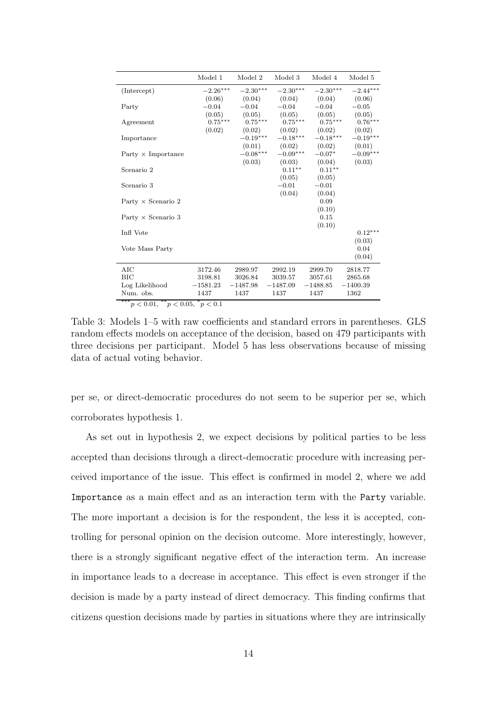|                                            | Model 1    | Model 2    | Model 3    | Model 4    | Model 5    |
|--------------------------------------------|------------|------------|------------|------------|------------|
| (Intercept)                                | $-2.26***$ | $-2.30***$ | $-2.30***$ | $-2.30***$ | $-2.44***$ |
|                                            | (0.06)     | (0.04)     | (0.04)     | (0.04)     | (0.06)     |
| Party                                      | $-0.04$    | $-0.04$    | $-0.04$    | $-0.04$    | $-0.05$    |
|                                            | (0.05)     | (0.05)     | (0.05)     | (0.05)     | (0.05)     |
| Agreement                                  | $0.75***$  | $0.75***$  | $0.75***$  | $0.75***$  | $0.76***$  |
|                                            | (0.02)     | (0.02)     | (0.02)     | (0.02)     | (0.02)     |
| Importance                                 |            | $-0.19***$ | $-0.18***$ | $-0.18***$ | $-0.19***$ |
|                                            |            | (0.01)     | (0.02)     | (0.02)     | (0.01)     |
| Party $\times$ Importance                  |            | $-0.08***$ | $-0.09***$ | $-0.07*$   | $-0.09***$ |
|                                            |            | (0.03)     | (0.03)     | (0.04)     | (0.03)     |
| Scenario 2                                 |            |            | $0.11***$  | $0.11***$  |            |
|                                            |            |            | (0.05)     | (0.05)     |            |
| Scenario 3                                 |            |            | $-0.01$    | $-0.01$    |            |
|                                            |            |            | (0.04)     | (0.04)     |            |
| Party $\times$ Scenario 2                  |            |            |            | 0.09       |            |
|                                            |            |            |            | (0.10)     |            |
| Party $\times$ Scenario 3                  |            |            |            | 0.15       |            |
|                                            |            |            |            | (0.10)     |            |
| Infl Vote                                  |            |            |            |            | $0.12***$  |
|                                            |            |            |            |            | (0.03)     |
| Vote Mass Party                            |            |            |            |            | 0.04       |
|                                            |            |            |            |            | (0.04)     |
| AIC                                        | 3172.46    | 2989.97    | 2992.19    | 2999.70    | 2818.77    |
| BIC                                        | 3198.81    | 3026.84    | 3039.57    | 3057.61    | 2865.68    |
| Log Likelihood                             | $-1581.23$ | $-1487.98$ | $-1487.09$ | $-1488.85$ | $-1400.39$ |
| Num. obs.                                  | 1437       | 1437       | 1437       | 1437       | 1362       |
| *** $p < 0.01,$ ** $p < 0.05,$ * $p < 0.1$ |            |            |            |            |            |

<span id="page-17-0"></span>Table 3: Models 1–5 with raw coefficients and standard errors in parentheses. GLS random effects models on acceptance of the decision, based on 479 participants with three decisions per participant. Model 5 has less observations because of missing data of actual voting behavior.

per se, or direct-democratic procedures do not seem to be superior per se, which corroborates hypothesis [1.](#page-8-0)

As set out in hypothesis [2,](#page-9-0) we expect decisions by political parties to be less accepted than decisions through a direct-democratic procedure with increasing perceived importance of the issue. This effect is confirmed in model 2, where we add Importance as a main effect and as an interaction term with the Party variable. The more important a decision is for the respondent, the less it is accepted, controlling for personal opinion on the decision outcome. More interestingly, however, there is a strongly significant negative effect of the interaction term. An increase in importance leads to a decrease in acceptance. This effect is even stronger if the decision is made by a party instead of direct democracy. This finding confirms that citizens question decisions made by parties in situations where they are intrinsically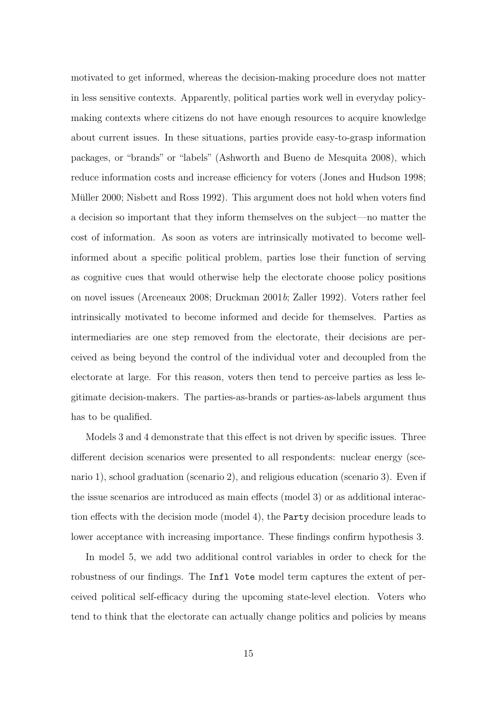motivated to get informed, whereas the decision-making procedure does not matter in less sensitive contexts. Apparently, political parties work well in everyday policymaking contexts where citizens do not have enough resources to acquire knowledge about current issues. In these situations, parties provide easy-to-grasp information packages, or "brands" or "labels" [\(Ashworth and Bueno de Mesquita](#page-26-1) [2008\)](#page-26-1), which reduce information costs and increase efficiency for voters [\(Jones and Hudson](#page-28-0) [1998;](#page-28-0) Müller [2000;](#page-29-1) [Nisbett and Ross](#page-30-1) [1992\)](#page-30-1). This argument does not hold when voters find a decision so important that they inform themselves on the subject—no matter the cost of information. As soon as voters are intrinsically motivated to become wellinformed about a specific political problem, parties lose their function of serving as cognitive cues that would otherwise help the electorate choose policy positions on novel issues [\(Arceneaux](#page-26-0) [2008;](#page-26-0) [Druckman](#page-27-3) [2001](#page-27-3)b; [Zaller](#page-31-3) [1992\)](#page-31-3). Voters rather feel intrinsically motivated to become informed and decide for themselves. Parties as intermediaries are one step removed from the electorate, their decisions are perceived as being beyond the control of the individual voter and decoupled from the electorate at large. For this reason, voters then tend to perceive parties as less legitimate decision-makers. The parties-as-brands or parties-as-labels argument thus has to be qualified.

Models 3 and 4 demonstrate that this effect is not driven by specific issues. Three different decision scenarios were presented to all respondents: nuclear energy (scenario 1), school graduation (scenario 2), and religious education (scenario 3). Even if the issue scenarios are introduced as main effects (model 3) or as additional interaction effects with the decision mode (model 4), the Party decision procedure leads to lower acceptance with increasing importance. These findings confirm hypothesis [3.](#page-10-0)

In model 5, we add two additional control variables in order to check for the robustness of our findings. The Infl Vote model term captures the extent of perceived political self-efficacy during the upcoming state-level election. Voters who tend to think that the electorate can actually change politics and policies by means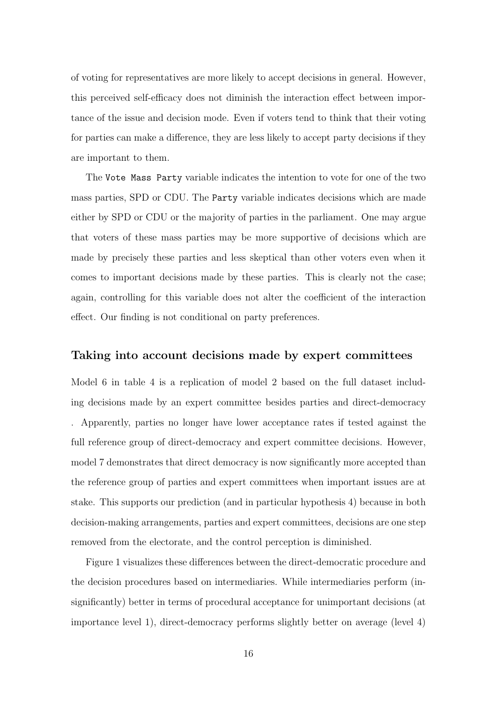of voting for representatives are more likely to accept decisions in general. However, this perceived self-efficacy does not diminish the interaction effect between importance of the issue and decision mode. Even if voters tend to think that their voting for parties can make a difference, they are less likely to accept party decisions if they are important to them.

The Vote Mass Party variable indicates the intention to vote for one of the two mass parties, SPD or CDU. The Party variable indicates decisions which are made either by SPD or CDU or the majority of parties in the parliament. One may argue that voters of these mass parties may be more supportive of decisions which are made by precisely these parties and less skeptical than other voters even when it comes to important decisions made by these parties. This is clearly not the case; again, controlling for this variable does not alter the coefficient of the interaction effect. Our finding is not conditional on party preferences.

#### Taking into account decisions made by expert committees

Model 6 in table [4](#page-20-0) is a replication of model 2 based on the full dataset including decisions made by an expert committee besides parties and direct-democracy . Apparently, parties no longer have lower acceptance rates if tested against the full reference group of direct-democracy and expert committee decisions. However, model 7 demonstrates that direct democracy is now significantly more accepted than the reference group of parties and expert committees when important issues are at stake. This supports our prediction (and in particular hypothesis [4\)](#page-10-1) because in both decision-making arrangements, parties and expert committees, decisions are one step removed from the electorate, and the control perception is diminished.

Figure [1](#page-21-0) visualizes these differences between the direct-democratic procedure and the decision procedures based on intermediaries. While intermediaries perform (insignificantly) better in terms of procedural acceptance for unimportant decisions (at importance level 1), direct-democracy performs slightly better on average (level 4)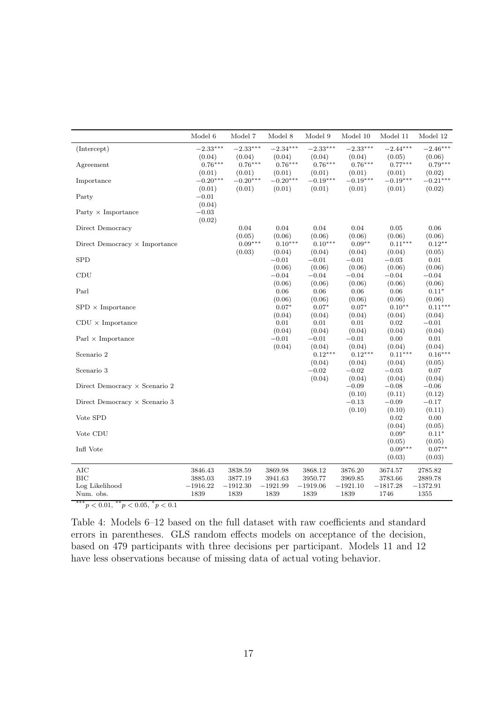|                                      | Model 6               | Model 7               | Model 8               | Model 9               | Model 10              | Model 11              | Model 12              |
|--------------------------------------|-----------------------|-----------------------|-----------------------|-----------------------|-----------------------|-----------------------|-----------------------|
| (Intercept)                          | $-2.33***$            | $-2.33***$            | $-2.34***$            | $-2.33***$            | $-2.33***$            | $-2.44***$            | $-2.46***$            |
| Agreement                            | (0.04)<br>$0.76***$   | (0.04)<br>$0.76***$   | (0.04)<br>$0.76***$   | (0.04)<br>$0.76***$   | (0.04)<br>$0.76***$   | (0.05)<br>$0.77***$   | (0.06)<br>$0.79***$   |
|                                      | (0.01)                | (0.01)                | (0.01)                | (0.01)                | (0.01)                | (0.01)                | (0.02)                |
| Importance                           | $-0.20***$<br>(0.01)  | $-0.20***$<br>(0.01)  | $-0.20***$<br>(0.01)  | $-0.19***$<br>(0.01)  | $-0.19***$<br>(0.01)  | $-0.19***$<br>(0.01)  | $-0.21***$<br>(0.02)  |
| Party                                | $-0.01$               |                       |                       |                       |                       |                       |                       |
| Party $\times$ Importance            | (0.04)<br>$-0.03$     |                       |                       |                       |                       |                       |                       |
|                                      | (0.02)                |                       |                       |                       |                       |                       |                       |
| Direct Democracy                     |                       | 0.04<br>(0.05)        | 0.04<br>(0.06)        | 0.04<br>(0.06)        | 0.04<br>(0.06)        | 0.05<br>(0.06)        | $0.06\,$<br>(0.06)    |
| Direct Democracy $\times$ Importance |                       | $0.09***$             | $0.10***$             | $0.10***$             | $0.09**$              | $0.11***$             | $0.12***$             |
| <b>SPD</b>                           |                       | (0.03)                | (0.04)<br>$-0.01$     | (0.04)<br>$-0.01$     | (0.04)<br>$-0.01$     | (0.04)<br>$-0.03$     | (0.05)<br>0.01        |
|                                      |                       |                       | (0.06)                | (0.06)                | (0.06)                | (0.06)                | (0.06)                |
| CDU                                  |                       |                       | $-0.04$<br>(0.06)     | $-0.04$<br>(0.06)     | $-0.04$<br>(0.06)     | $-0.04$<br>(0.06)     | $-0.04$<br>(0.06)     |
| Parl                                 |                       |                       | 0.06                  | 0.06                  | 0.06                  | 0.06                  | $0.11*$               |
| $SPD \times Importance$              |                       |                       | (0.06)<br>$0.07*$     | (0.06)<br>$0.07*$     | (0.06)<br>$0.07*$     | (0.06)<br>$0.10**$    | (0.06)<br>$0.11***$   |
|                                      |                       |                       | (0.04)                | (0.04)                | (0.04)                | (0.04)                | (0.04)                |
| $CDU \times Importance$              |                       |                       | $0.01\,$<br>(0.04)    | 0.01<br>(0.04)        | $0.01\,$<br>(0.04)    | $0.02\,$<br>(0.04)    | $-0.01$<br>(0.04)     |
| Parl $\times$ Importance             |                       |                       | $-0.01$               | $-0.01$               | $-0.01$               | 0.00                  | 0.01                  |
| Scenario 2                           |                       |                       | (0.04)                | (0.04)<br>$0.12***$   | (0.04)<br>$0.12***$   | (0.04)<br>$0.11***$   | (0.04)<br>$0.16***$   |
|                                      |                       |                       |                       | (0.04)                | (0.04)                | (0.04)                | (0.05)                |
| Scenario 3                           |                       |                       |                       | $-0.02$<br>(0.04)     | $-0.02$<br>(0.04)     | $-0.03$<br>(0.04)     | 0.07<br>(0.04)        |
| Direct Democracy $\times$ Scenario 2 |                       |                       |                       |                       | $-0.09$               | $-0.08$               | $-0.06$               |
| Direct Democracy $\times$ Scenario 3 |                       |                       |                       |                       | (0.10)<br>$-0.13$     | (0.11)<br>$-0.09$     | (0.12)<br>$-0.17$     |
|                                      |                       |                       |                       |                       | (0.10)                | (0.10)                | (0.11)                |
| Vote SPD                             |                       |                       |                       |                       |                       | 0.02                  | $0.00\,$              |
| Vote CDU                             |                       |                       |                       |                       |                       | (0.04)<br>$0.09*$     | (0.05)<br>$0.11*$     |
| Infl Vote                            |                       |                       |                       |                       |                       | (0.05)<br>$0.09***$   | (0.05)<br>$0.07**$    |
|                                      |                       |                       |                       |                       |                       | (0.03)                | (0.03)                |
| AIC                                  | 3846.43               | 3838.59               | 3869.98               | 3868.12               | 3876.20               | 3674.57               | 2785.82               |
| <b>BIC</b><br>Log Likelihood         | 3885.03<br>$-1916.22$ | 3877.19<br>$-1912.30$ | 3941.63<br>$-1921.99$ | 3950.77<br>$-1919.06$ | 3969.85<br>$-1921.10$ | 3783.66<br>$-1817.28$ | 2889.78<br>$-1372.91$ |
| Num. obs.                            | 1839                  | 1839                  | 1839                  | 1839                  | 1839                  | 1746                  | 1355                  |

\*\*\*\*p < 0.01,  $*$ \*p < 0.05,  $*$ p < 0.1

<span id="page-20-0"></span>Table 4: Models 6–12 based on the full dataset with raw coefficients and standard errors in parentheses. GLS random effects models on acceptance of the decision, based on 479 participants with three decisions per participant. Models 11 and 12 have less observations because of missing data of actual voting behavior.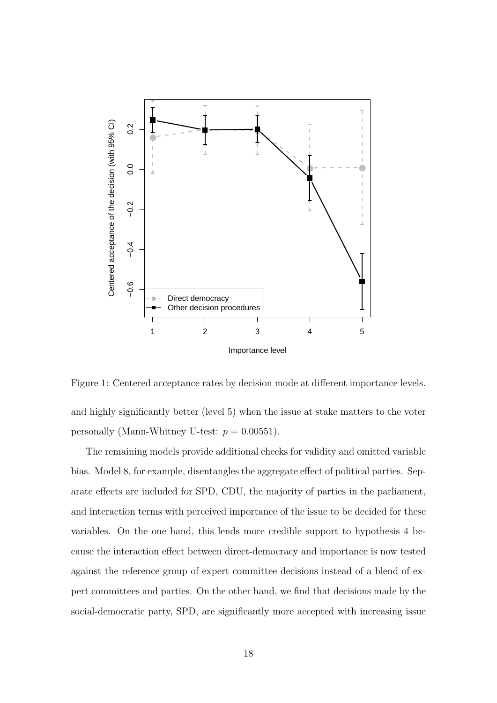

<span id="page-21-0"></span>Figure 1: Centered acceptance rates by decision mode at different importance levels. and highly significantly better (level 5) when the issue at stake matters to the voter personally (Mann-Whitney U-test:  $p = 0.00551$ ).

The remaining models provide additional checks for validity and omitted variable bias. Model 8, for example, disentangles the aggregate effect of political parties. Separate effects are included for SPD, CDU, the majority of parties in the parliament, and interaction terms with perceived importance of the issue to be decided for these variables. On the one hand, this lends more credible support to hypothesis [4](#page-10-1) because the interaction effect between direct-democracy and importance is now tested against the reference group of expert committee decisions instead of a blend of expert committees and parties. On the other hand, we find that decisions made by the social-democratic party, SPD, are significantly more accepted with increasing issue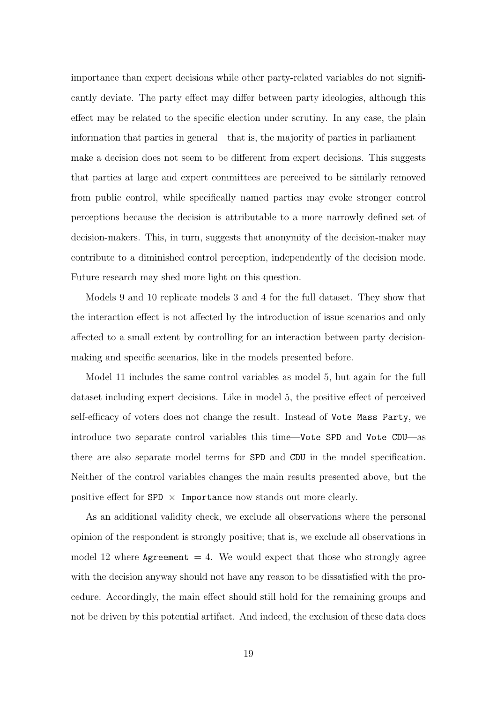importance than expert decisions while other party-related variables do not significantly deviate. The party effect may differ between party ideologies, although this effect may be related to the specific election under scrutiny. In any case, the plain information that parties in general—that is, the majority of parties in parliament make a decision does not seem to be different from expert decisions. This suggests that parties at large and expert committees are perceived to be similarly removed from public control, while specifically named parties may evoke stronger control perceptions because the decision is attributable to a more narrowly defined set of decision-makers. This, in turn, suggests that anonymity of the decision-maker may contribute to a diminished control perception, independently of the decision mode. Future research may shed more light on this question.

Models 9 and 10 replicate models 3 and 4 for the full dataset. They show that the interaction effect is not affected by the introduction of issue scenarios and only affected to a small extent by controlling for an interaction between party decisionmaking and specific scenarios, like in the models presented before.

Model 11 includes the same control variables as model 5, but again for the full dataset including expert decisions. Like in model 5, the positive effect of perceived self-efficacy of voters does not change the result. Instead of Vote Mass Party, we introduce two separate control variables this time—Vote SPD and Vote CDU—as there are also separate model terms for SPD and CDU in the model specification. Neither of the control variables changes the main results presented above, but the positive effect for SPD  $\times$  Importance now stands out more clearly.

As an additional validity check, we exclude all observations where the personal opinion of the respondent is strongly positive; that is, we exclude all observations in model 12 where Agreement  $= 4$ . We would expect that those who strongly agree with the decision anyway should not have any reason to be dissatisfied with the procedure. Accordingly, the main effect should still hold for the remaining groups and not be driven by this potential artifact. And indeed, the exclusion of these data does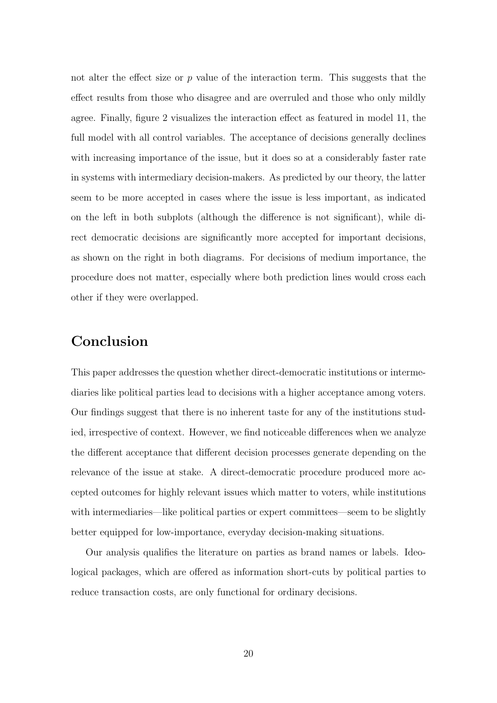not alter the effect size or  $p$  value of the interaction term. This suggests that the effect results from those who disagree and are overruled and those who only mildly agree. Finally, figure [2](#page-24-0) visualizes the interaction effect as featured in model 11, the full model with all control variables. The acceptance of decisions generally declines with increasing importance of the issue, but it does so at a considerably faster rate in systems with intermediary decision-makers. As predicted by our theory, the latter seem to be more accepted in cases where the issue is less important, as indicated on the left in both subplots (although the difference is not significant), while direct democratic decisions are significantly more accepted for important decisions, as shown on the right in both diagrams. For decisions of medium importance, the procedure does not matter, especially where both prediction lines would cross each other if they were overlapped.

## Conclusion

This paper addresses the question whether direct-democratic institutions or intermediaries like political parties lead to decisions with a higher acceptance among voters. Our findings suggest that there is no inherent taste for any of the institutions studied, irrespective of context. However, we find noticeable differences when we analyze the different acceptance that different decision processes generate depending on the relevance of the issue at stake. A direct-democratic procedure produced more accepted outcomes for highly relevant issues which matter to voters, while institutions with intermediaries—like political parties or expert committees—seem to be slightly better equipped for low-importance, everyday decision-making situations.

Our analysis qualifies the literature on parties as brand names or labels. Ideological packages, which are offered as information short-cuts by political parties to reduce transaction costs, are only functional for ordinary decisions.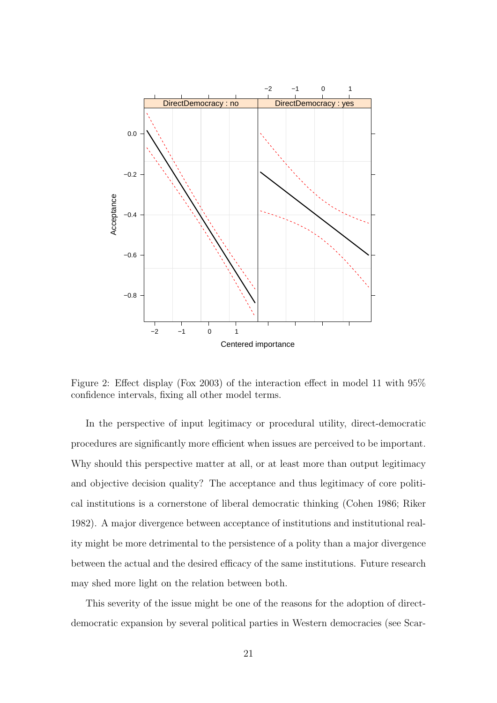

<span id="page-24-0"></span>Figure 2: Effect display [\(Fox](#page-28-9) [2003\)](#page-28-9) of the interaction effect in model 11 with 95% confidence intervals, fixing all other model terms.

In the perspective of input legitimacy or procedural utility, direct-democratic procedures are significantly more efficient when issues are perceived to be important. Why should this perspective matter at all, or at least more than output legitimacy and objective decision quality? The acceptance and thus legitimacy of core political institutions is a cornerstone of liberal democratic thinking [\(Cohen](#page-27-9) [1986;](#page-27-9) [Riker](#page-30-10) [1982\)](#page-30-10). A major divergence between acceptance of institutions and institutional reality might be more detrimental to the persistence of a polity than a major divergence between the actual and the desired efficacy of the same institutions. Future research may shed more light on the relation between both.

This severity of the issue might be one of the reasons for the adoption of directdemocratic expansion by several political parties in Western democracies (see [Scar-](#page-30-3)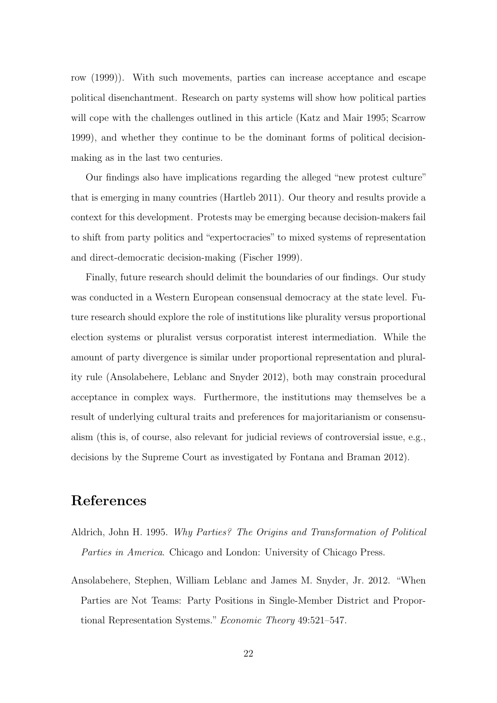[row](#page-30-3) [\(1999\)](#page-30-3)). With such movements, parties can increase acceptance and escape political disenchantment. Research on party systems will show how political parties will cope with the challenges outlined in this article [\(Katz and Mair](#page-29-10) [1995;](#page-29-10) [Scarrow](#page-30-3) [1999\)](#page-30-3), and whether they continue to be the dominant forms of political decisionmaking as in the last two centuries.

Our findings also have implications regarding the alleged "new protest culture" that is emerging in many countries [\(Hartleb](#page-28-8) [2011\)](#page-28-8). Our theory and results provide a context for this development. Protests may be emerging because decision-makers fail to shift from party politics and "expertocracies" to mixed systems of representation and direct-democratic decision-making [\(Fischer](#page-27-10) [1999\)](#page-27-10).

Finally, future research should delimit the boundaries of our findings. Our study was conducted in a Western European consensual democracy at the state level. Future research should explore the role of institutions like plurality versus proportional election systems or pluralist versus corporatist interest intermediation. While the amount of party divergence is similar under proportional representation and plurality rule [\(Ansolabehere, Leblanc and Snyder](#page-25-1) [2012\)](#page-25-1), both may constrain procedural acceptance in complex ways. Furthermore, the institutions may themselves be a result of underlying cultural traits and preferences for majoritarianism or consensualism (this is, of course, also relevant for judicial reviews of controversial issue, e.g., decisions by the Supreme Court as investigated by [Fontana and Braman](#page-27-11) [2012\)](#page-27-11).

## References

- <span id="page-25-0"></span>Aldrich, John H. 1995. Why Parties? The Origins and Transformation of Political Parties in America. Chicago and London: University of Chicago Press.
- <span id="page-25-1"></span>Ansolabehere, Stephen, William Leblanc and James M. Snyder, Jr. 2012. "When Parties are Not Teams: Party Positions in Single-Member District and Proportional Representation Systems." Economic Theory 49:521–547.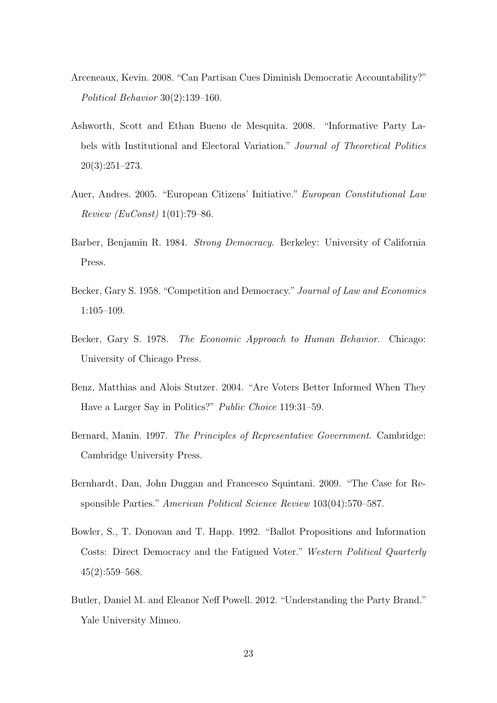- <span id="page-26-0"></span>Arceneaux, Kevin. 2008. "Can Partisan Cues Diminish Democratic Accountability?" Political Behavior 30(2):139–160.
- <span id="page-26-1"></span>Ashworth, Scott and Ethan Bueno de Mesquita. 2008. "Informative Party Labels with Institutional and Electoral Variation." Journal of Theoretical Politics 20(3):251–273.
- <span id="page-26-6"></span>Auer, Andres. 2005. "European Citizens' Initiative." European Constitutional Law Review (EuConst) 1(01):79–86.
- <span id="page-26-7"></span>Barber, Benjamin R. 1984. Strong Democracy. Berkeley: University of California Press.
- <span id="page-26-3"></span>Becker, Gary S. 1958. "Competition and Democracy." Journal of Law and Economics 1:105–109.
- <span id="page-26-10"></span>Becker, Gary S. 1978. The Economic Approach to Human Behavior. Chicago: University of Chicago Press.
- <span id="page-26-8"></span>Benz, Matthias and Alois Stutzer. 2004. "Are Voters Better Informed When They Have a Larger Say in Politics?" Public Choice 119:31–59.
- <span id="page-26-4"></span>Bernard, Manin. 1997. The Principles of Representative Government. Cambridge: Cambridge University Press.
- <span id="page-26-5"></span>Bernhardt, Dan, John Duggan and Francesco Squintani. 2009. "The Case for Responsible Parties." American Political Science Review 103(04):570–587.
- <span id="page-26-9"></span>Bowler, S., T. Donovan and T. Happ. 1992. "Ballot Propositions and Information Costs: Direct Democracy and the Fatigued Voter." Western Political Quarterly  $45(2):559-568.$
- <span id="page-26-2"></span>Butler, Daniel M. and Eleanor Neff Powell. 2012. "Understanding the Party Brand." Yale University Mimeo.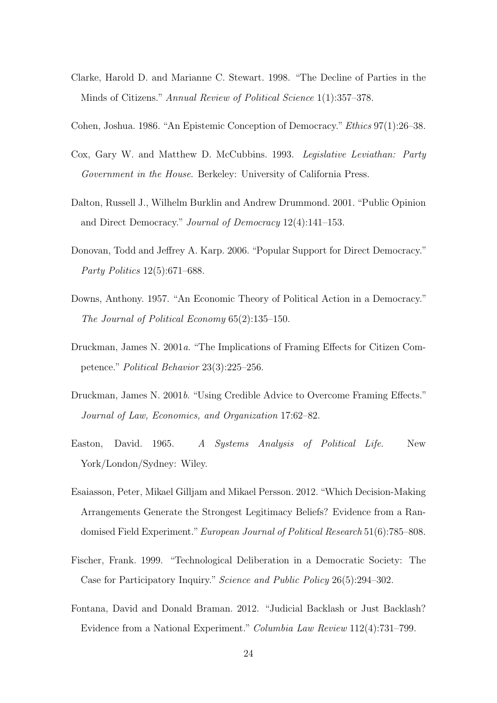- <span id="page-27-4"></span>Clarke, Harold D. and Marianne C. Stewart. 1998. "The Decline of Parties in the Minds of Citizens." Annual Review of Political Science 1(1):357–378.
- <span id="page-27-9"></span>Cohen, Joshua. 1986. "An Epistemic Conception of Democracy."Ethics 97(1):26–38.
- <span id="page-27-0"></span>Cox, Gary W. and Matthew D. McCubbins. 1993. Legislative Leviathan: Party Government in the House. Berkeley: University of California Press.
- <span id="page-27-5"></span>Dalton, Russell J., Wilhelm Burklin and Andrew Drummond. 2001. "Public Opinion and Direct Democracy." Journal of Democracy 12(4):141–153.
- <span id="page-27-6"></span>Donovan, Todd and Jeffrey A. Karp. 2006. "Popular Support for Direct Democracy." Party Politics 12(5):671–688.
- <span id="page-27-2"></span>Downs, Anthony. 1957. "An Economic Theory of Political Action in a Democracy." The Journal of Political Economy 65(2):135–150.
- <span id="page-27-1"></span>Druckman, James N. 2001a. "The Implications of Framing Effects for Citizen Competence." Political Behavior 23(3):225–256.
- <span id="page-27-3"></span>Druckman, James N. 2001b. "Using Credible Advice to Overcome Framing Effects." Journal of Law, Economics, and Organization 17:62–82.
- <span id="page-27-7"></span>Easton, David. 1965. A Systems Analysis of Political Life. New York/London/Sydney: Wiley.
- <span id="page-27-8"></span>Esaiasson, Peter, Mikael Gilljam and Mikael Persson. 2012. "Which Decision-Making Arrangements Generate the Strongest Legitimacy Beliefs? Evidence from a Randomised Field Experiment." European Journal of Political Research 51(6):785–808.
- <span id="page-27-10"></span>Fischer, Frank. 1999. "Technological Deliberation in a Democratic Society: The Case for Participatory Inquiry." Science and Public Policy 26(5):294–302.
- <span id="page-27-11"></span>Fontana, David and Donald Braman. 2012. "Judicial Backlash or Just Backlash? Evidence from a National Experiment." Columbia Law Review 112(4):731–799.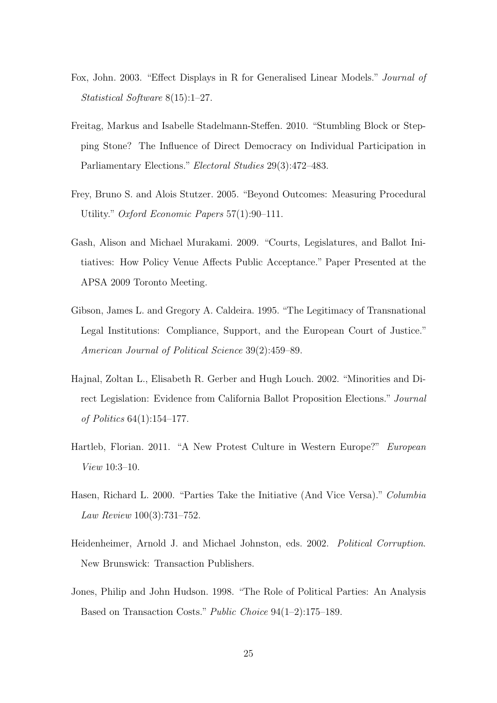- <span id="page-28-9"></span>Fox, John. 2003. "Effect Displays in R for Generalised Linear Models." Journal of Statistical Software 8(15):1–27.
- <span id="page-28-2"></span>Freitag, Markus and Isabelle Stadelmann-Steffen. 2010. "Stumbling Block or Stepping Stone? The Influence of Direct Democracy on Individual Participation in Parliamentary Elections." Electoral Studies 29(3):472–483.
- <span id="page-28-5"></span>Frey, Bruno S. and Alois Stutzer. 2005. "Beyond Outcomes: Measuring Procedural Utility." Oxford Economic Papers 57(1):90–111.
- <span id="page-28-7"></span>Gash, Alison and Michael Murakami. 2009. "Courts, Legislatures, and Ballot Initiatives: How Policy Venue Affects Public Acceptance." Paper Presented at the APSA 2009 Toronto Meeting.
- <span id="page-28-6"></span>Gibson, James L. and Gregory A. Caldeira. 1995. "The Legitimacy of Transnational Legal Institutions: Compliance, Support, and the European Court of Justice." American Journal of Political Science 39(2):459–89.
- <span id="page-28-4"></span>Hajnal, Zoltan L., Elisabeth R. Gerber and Hugh Louch. 2002. "Minorities and Direct Legislation: Evidence from California Ballot Proposition Elections." Journal of Politics 64(1):154–177.
- <span id="page-28-8"></span>Hartleb, Florian. 2011. "A New Protest Culture in Western Europe?" European View 10:3–10.
- <span id="page-28-3"></span>Hasen, Richard L. 2000. "Parties Take the Initiative (And Vice Versa)." Columbia Law Review 100(3):731–752.
- <span id="page-28-1"></span>Heidenheimer, Arnold J. and Michael Johnston, eds. 2002. Political Corruption. New Brunswick: Transaction Publishers.
- <span id="page-28-0"></span>Jones, Philip and John Hudson. 1998. "The Role of Political Parties: An Analysis Based on Transaction Costs." Public Choice 94(1–2):175–189.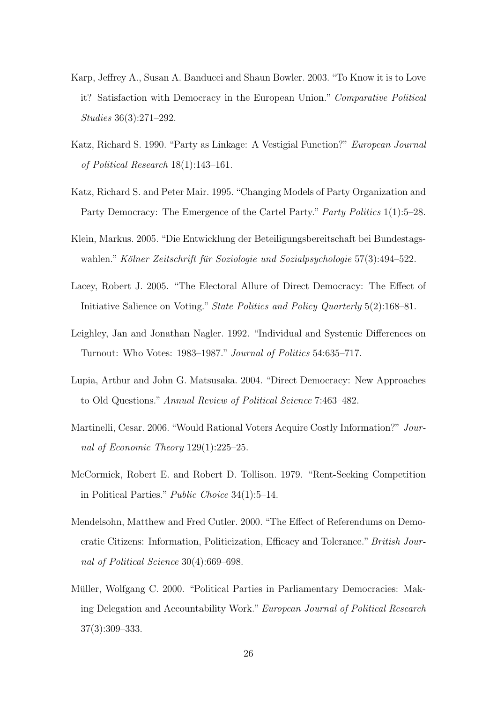- <span id="page-29-4"></span>Karp, Jeffrey A., Susan A. Banducci and Shaun Bowler. 2003. "To Know it is to Love it? Satisfaction with Democracy in the European Union." Comparative Political Studies 36(3):271–292.
- <span id="page-29-0"></span>Katz, Richard S. 1990. "Party as Linkage: A Vestigial Function?" European Journal of Political Research 18(1):143–161.
- <span id="page-29-10"></span>Katz, Richard S. and Peter Mair. 1995. "Changing Models of Party Organization and Party Democracy: The Emergence of the Cartel Party." Party Politics 1(1):5–28.
- <span id="page-29-3"></span>Klein, Markus. 2005. "Die Entwicklung der Beteiligungsbereitschaft bei Bundestagswahlen." Kölner Zeitschrift für Soziologie und Sozialpsychologie  $57(3):494-522$ .
- <span id="page-29-5"></span>Lacey, Robert J. 2005. "The Electoral Allure of Direct Democracy: The Effect of Initiative Salience on Voting." State Politics and Policy Quarterly 5(2):168–81.
- <span id="page-29-6"></span>Leighley, Jan and Jonathan Nagler. 1992. "Individual and Systemic Differences on Turnout: Who Votes: 1983–1987." Journal of Politics 54:635–717.
- <span id="page-29-8"></span>Lupia, Arthur and John G. Matsusaka. 2004. "Direct Democracy: New Approaches to Old Questions." Annual Review of Political Science 7:463–482.
- <span id="page-29-9"></span>Martinelli, Cesar. 2006. "Would Rational Voters Acquire Costly Information?" Journal of Economic Theory 129(1):225–25.
- <span id="page-29-2"></span>McCormick, Robert E. and Robert D. Tollison. 1979. "Rent-Seeking Competition in Political Parties." Public Choice 34(1):5–14.
- <span id="page-29-7"></span>Mendelsohn, Matthew and Fred Cutler. 2000. "The Effect of Referendums on Democratic Citizens: Information, Politicization, Efficacy and Tolerance."British Journal of Political Science 30(4):669–698.
- <span id="page-29-1"></span>Müller, Wolfgang C. 2000. "Political Parties in Parliamentary Democracies: Making Delegation and Accountability Work." European Journal of Political Research 37(3):309–333.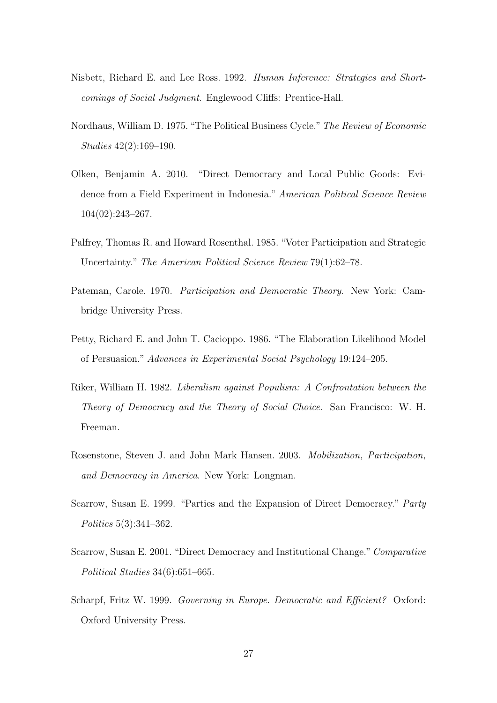- <span id="page-30-1"></span>Nisbett, Richard E. and Lee Ross. 1992. Human Inference: Strategies and Shortcomings of Social Judgment. Englewood Cliffs: Prentice-Hall.
- <span id="page-30-2"></span>Nordhaus, William D. 1975. "The Political Business Cycle."The Review of Economic Studies 42(2):169–190.
- <span id="page-30-8"></span>Olken, Benjamin A. 2010. "Direct Democracy and Local Public Goods: Evidence from a Field Experiment in Indonesia." American Political Science Review 104(02):243–267.
- <span id="page-30-9"></span>Palfrey, Thomas R. and Howard Rosenthal. 1985. "Voter Participation and Strategic Uncertainty." The American Political Science Review 79(1):62–78.
- <span id="page-30-6"></span>Pateman, Carole. 1970. Participation and Democratic Theory. New York: Cambridge University Press.
- <span id="page-30-0"></span>Petty, Richard E. and John T. Cacioppo. 1986. "The Elaboration Likelihood Model of Persuasion." Advances in Experimental Social Psychology 19:124–205.
- <span id="page-30-10"></span>Riker, William H. 1982. Liberalism against Populism: A Confrontation between the Theory of Democracy and the Theory of Social Choice. San Francisco: W. H. Freeman.
- <span id="page-30-5"></span>Rosenstone, Steven J. and John Mark Hansen. 2003. Mobilization, Participation, and Democracy in America. New York: Longman.
- <span id="page-30-3"></span>Scarrow, Susan E. 1999. "Parties and the Expansion of Direct Democracy." Party Politics 5(3):341–362.
- <span id="page-30-4"></span>Scarrow, Susan E. 2001. "Direct Democracy and Institutional Change." Comparative Political Studies 34(6):651–665.
- <span id="page-30-7"></span>Scharpf, Fritz W. 1999. Governing in Europe. Democratic and Efficient? Oxford: Oxford University Press.